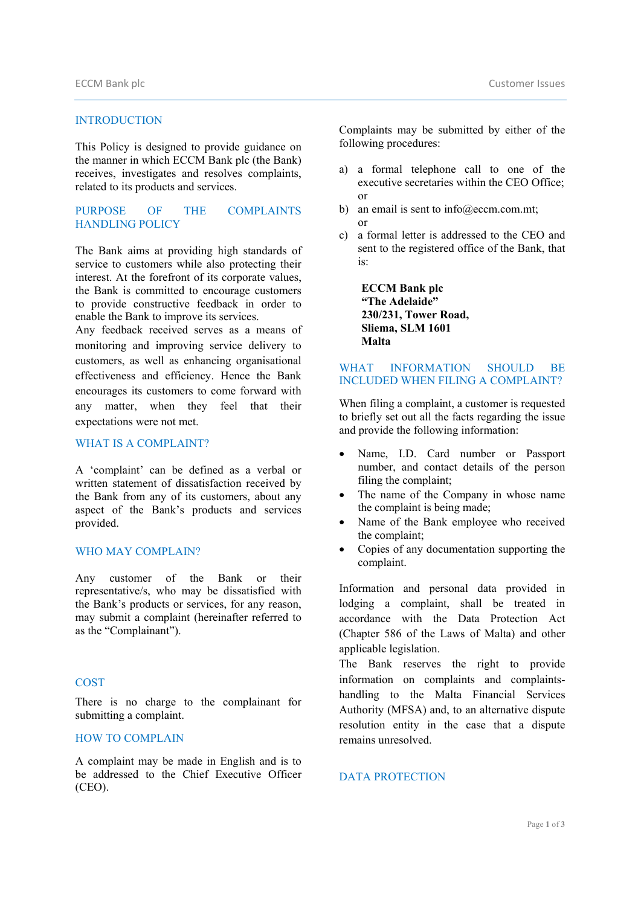#### INTRODUCTION

This Policy is designed to provide guidance on the manner in which ECCM Bank plc (the Bank) receives, investigates and resolves complaints, related to its products and services.

# PURPOSE OF THE COMPLAINTS HANDLING POLICY

The Bank aims at providing high standards of service to customers while also protecting their interest. At the forefront of its corporate values, the Bank is committed to encourage customers to provide constructive feedback in order to enable the Bank to improve its services.

Any feedback received serves as a means of monitoring and improving service delivery to customers, as well as enhancing organisational effectiveness and efficiency. Hence the Bank encourages its customers to come forward with any matter, when they feel that their expectations were not met.

#### WHAT IS A COMPLAINT?

A 'complaint' can be defined as a verbal or written statement of dissatisfaction received by the Bank from any of its customers, about any aspect of the Bank's products and services provided.

### WHO MAY COMPLAIN?

Any customer of the Bank or their representative/s, who may be dissatisfied with the Bank's products or services, for any reason, may submit a complaint (hereinafter referred to as the "Complainant").

#### **COST**

There is no charge to the complainant for submitting a complaint.

### HOW TO COMPLAIN

A complaint may be made in English and is to be addressed to the Chief Executive Officer (CEO).

Complaints may be submitted by either of the following procedures:

- a) a formal telephone call to one of the executive secretaries within the CEO Office; or
- b) an email is sent to info@eccm.com.mt;
- c) a formal letter is addressed to the CEO and sent to the registered office of the Bank, that is:

**ECCM Bank plc "The Adelaide" 230/231, Tower Road, Sliema, SLM 1601 Malta** 

or

### WHAT INFORMATION SHOULD BE INCLUDED WHEN FILING A COMPLAINT?

When filing a complaint, a customer is requested to briefly set out all the facts regarding the issue and provide the following information:

- Name, I.D. Card number or Passport number, and contact details of the person filing the complaint;
- The name of the Company in whose name the complaint is being made;
- Name of the Bank employee who received the complaint;
- Copies of any documentation supporting the complaint.

Information and personal data provided in lodging a complaint, shall be treated in accordance with the Data Protection Act (Chapter 586 of the Laws of Malta) and other applicable legislation.

The Bank reserves the right to provide information on complaints and complaintshandling to the Malta Financial Services Authority (MFSA) and, to an alternative dispute resolution entity in the case that a dispute remains unresolved.

#### DATA PROTECTION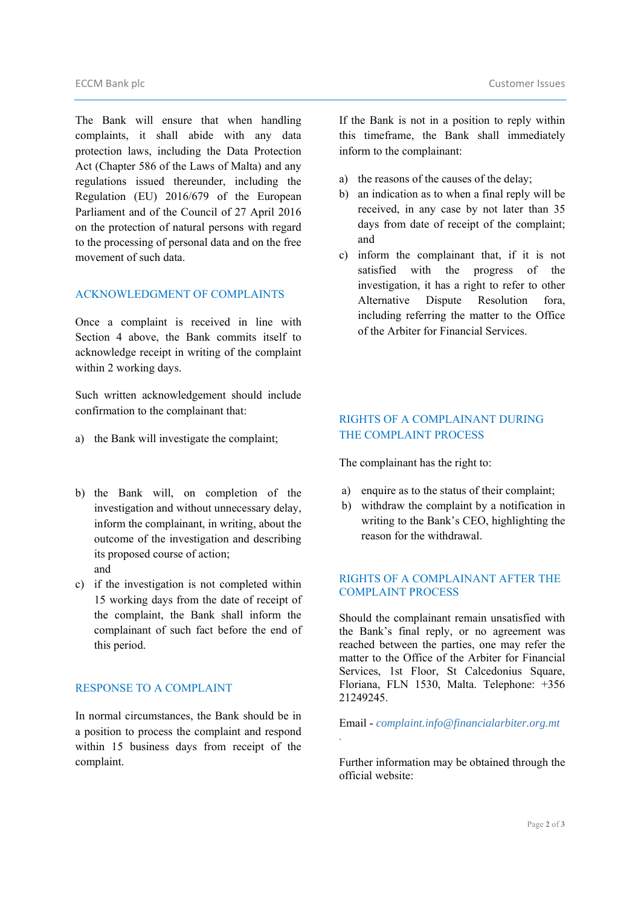The Bank will ensure that when handling complaints, it shall abide with any data protection laws, including the Data Protection Act (Chapter 586 of the Laws of Malta) and any regulations issued thereunder, including the Regulation (EU) 2016/679 of the European Parliament and of the Council of 27 April 2016 on the protection of natural persons with regard to the processing of personal data and on the free movement of such data.

## ACKNOWLEDGMENT OF COMPLAINTS

Once a complaint is received in line with Section 4 above, the Bank commits itself to acknowledge receipt in writing of the complaint within 2 working days.

Such written acknowledgement should include confirmation to the complainant that:

- a) the Bank will investigate the complaint;
- b) the Bank will, on completion of the investigation and without unnecessary delay, inform the complainant, in writing, about the outcome of the investigation and describing its proposed course of action; and
- c) if the investigation is not completed within 15 working days from the date of receipt of the complaint, the Bank shall inform the complainant of such fact before the end of this period.

### RESPONSE TO A COMPLAINT

In normal circumstances, the Bank should be in a position to process the complaint and respond within 15 business days from receipt of the complaint.

If the Bank is not in a position to reply within this timeframe, the Bank shall immediately inform to the complainant:

- a) the reasons of the causes of the delay;
- b) an indication as to when a final reply will be received, in any case by not later than 35 days from date of receipt of the complaint; and
- c) inform the complainant that, if it is not satisfied with the progress of the investigation, it has a right to refer to other Alternative Dispute Resolution fora, including referring the matter to the Office of the Arbiter for Financial Services.

# RIGHTS OF A COMPLAINANT DURING THE COMPLAINT PROCESS

The complainant has the right to:

- a) enquire as to the status of their complaint;
- b) withdraw the complaint by a notification in writing to the Bank's CEO, highlighting the reason for the withdrawal.

### RIGHTS OF A COMPLAINANT AFTER THE COMPLAINT PROCESS

Should the complainant remain unsatisfied with the Bank's final reply, or no agreement was reached between the parties, one may refer the matter to the Office of the Arbiter for Financial Services, 1st Floor, St Calcedonius Square, Floriana, FLN 1530, Malta. Telephone: +356 21249245.

Email - *complaint.info@financialarbiter.org.mt* 

*.* 

Further information may be obtained through the official website: